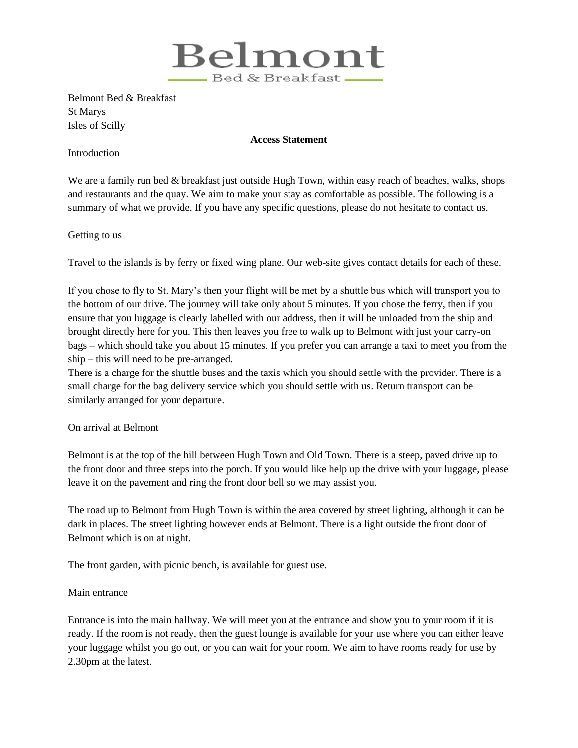

Belmont Bed & Breakfast St Marys Isles of Scilly

## **Access Statement**

Introduction

We are a family run bed & breakfast just outside Hugh Town, within easy reach of beaches, walks, shops and restaurants and the quay. We aim to make your stay as comfortable as possible. The following is a summary of what we provide. If you have any specific questions, please do not hesitate to contact us.

Getting to us

Travel to the islands is by ferry or fixed wing plane. Our web-site gives contact details for each of these.

If you chose to fly to St. Mary's then your flight will be met by a shuttle bus which will transport you to the bottom of our drive. The journey will take only about 5 minutes. If you chose the ferry, then if you ensure that you luggage is clearly labelled with our address, then it will be unloaded from the ship and brought directly here for you. This then leaves you free to walk up to Belmont with just your carry-on bags – which should take you about 15 minutes. If you prefer you can arrange a taxi to meet you from the ship – this will need to be pre-arranged.

There is a charge for the shuttle buses and the taxis which you should settle with the provider. There is a small charge for the bag delivery service which you should settle with us. Return transport can be similarly arranged for your departure.

## On arrival at Belmont

Belmont is at the top of the hill between Hugh Town and Old Town. There is a steep, paved drive up to the front door and three steps into the porch. If you would like help up the drive with your luggage, please leave it on the pavement and ring the front door bell so we may assist you.

The road up to Belmont from Hugh Town is within the area covered by street lighting, although it can be dark in places. The street lighting however ends at Belmont. There is a light outside the front door of Belmont which is on at night.

The front garden, with picnic bench, is available for guest use.

## Main entrance

Entrance is into the main hallway. We will meet you at the entrance and show you to your room if it is ready. If the room is not ready, then the guest lounge is available for your use where you can either leave your luggage whilst you go out, or you can wait for your room. We aim to have rooms ready for use by 2.30pm at the latest.